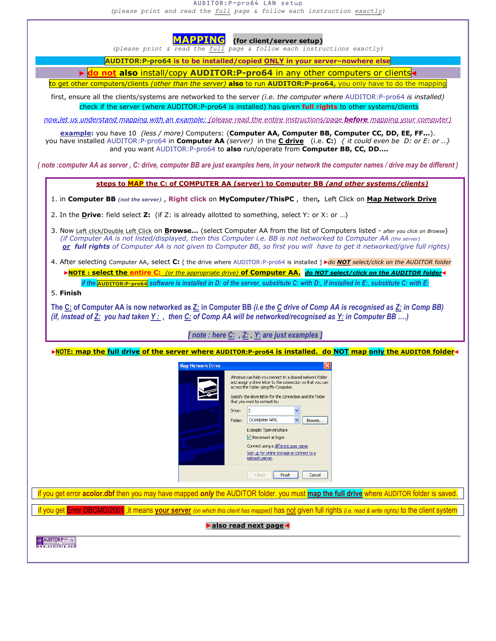AUDITOR:P-pro64 LAN setup

*(please print and read the full page & follow each instruction exactly)* 

**MAPPING (for client/server setup)** 

*(please print & read the full page & follow each instructions exactly)* 

**AUDITOR:P-pro64 is to be installed/copied ONLY in your server–nowhere else** 

**► do not also** install/copy **AUDITOR:P-pro64** in any other computers or clients**◄**

to get other computers/clients *(other than the server)* **also** to run **AUDITOR:P-pro64,** you only have to do the mapping

first, ensure all the clients/systems are networked to the server *(i.e. the computer where* AUDITOR:P-pro64 *is installed)*  check if the server (where AUDITOR:P-pro64 is installed) has given **full rights** to other systems/clients

*now,let us understand mapping with an example: (please read the entire instructions/page before mapping your computer)*

**example:** you have 10 *(less / more)* Computers: (**Computer AA, Computer BB, Computer CC, DD, EE, FF...**). you have installed AUDITOR:P-pro64 in **Computer AA** *(server)*in the **C drive** (i.e. **C:**) *{ it could even be D: or E: or ..}*  and you want AUDITOR:P-pro64 to **also** run/operate from **Computer BB, CC, DD….** 

*( note :computer AA as server , C: drive, computer BB are just examples here, in your network the computer names / drive may be different )* 

**steps to MAP the C: of COMPUTER AA (server) to Computer BB** *(and other systems/clients)*

- 1. in **Computer BB** *(not the server)* , **Right click** on **MyComputer/ThisPC** ,then**,** Left Click on **Map Network Drive**
- 2. In the **Drive**: field select **Z:** (if Z: is already allotted to something, select Y: or X: or …)
- 3. Now Left click/Double Left Click on **Browse…** (select Computer AA from the list of Computers listed *after you click on Browse*)  *(if Computer AA is not listed/displayed, then this Computer i.e. BB is not networked to Computer AA (the server) or full rights of Computer AA is not given to Computer BB, so first you will have to get it networked/give full rights)*
- 4. After selecting Computer AA, select **C:** [ the drive where AUDITOR:P-pro64 is installed ] **►***do NOT select/click on the AUDITOR folder* **►NOTE : select the entire C:** *(or the appropriate drive)* **of Computer AA.** *do NOT select/click on the AUDITOR folder***◄** *if the* **AUDITOR:P-pro64** *software is installed in D: of the server, substitute C: with D:, if installed in E:, substitute C: with E:*
- 5. **Finish**

**The C: of Computer AA is now networked as Z: in Computer BB** *(i.e the C drive of Comp AA is recognised as Z: in Comp BB) (if, instead of Z: you had taken Y : , then C: of Comp AA will be networked/recognised as Y: in Computer BB ….)* 

## *[ note : here C: , Z: , Y: are just examples ]*

**►NOTE: map the full drive of the server where AUDITOR:P-pro64 is installed. do NOT map only the AUDITOR folder◄ Map Network Drive** Windows can help you connect to a shared network folder and assign a drive letter to the connection so that you can<br>access the folder using My Computer. Specify the drive letter for the connection and the folder that you want to connect to  $|z_2|$ Drive: Folder: \\Computer AA\C  $\vee$  Browse... Example: \\server\share Reconnect at logon Connect using a different user name. Sign up for online storage or connect to a network server.  $<$  Back Finish Cancel if you get error **acolor.dbf** then you may have mapped *only* the AUDITOR folder. you must **map the full drive** where AUDITOR folder is saved. if you get Error DBCMD/2001 ,it means **your server** *(on which this client has mapped)* has not given full rights *(i.e. read & write rights)* to the client system **►also read next page◄**@ AUDITOR:P.Prob ash basis billing + full accounting<br>'**. a u d i t o r p . c o m**